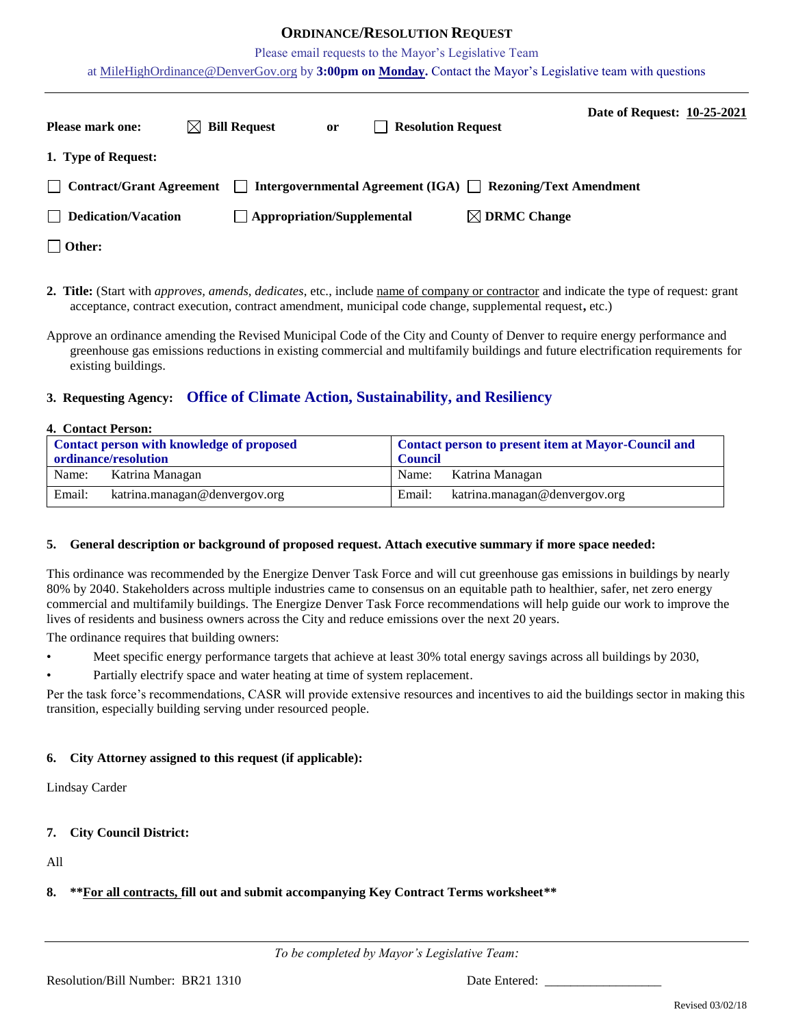## **ORDINANCE/RESOLUTION REQUEST**

Please email requests to the Mayor's Legislative Team

at [MileHighOrdinance@DenverGov.org](mailto:MileHighOrdinance@DenverGov.org) by **3:00pm on Monday.** Contact the Mayor's Legislative team with questions

| <b>Please mark one:</b>    | $\boxtimes$ Bill Request | <sub>or</sub>                     | <b>Resolution Request</b>                                               | Date of Request: 10-25-2021 |  |
|----------------------------|--------------------------|-----------------------------------|-------------------------------------------------------------------------|-----------------------------|--|
| 1. Type of Request:        |                          |                                   |                                                                         |                             |  |
| Contract/Grant Agreement   |                          |                                   | $\Box$ Intergovernmental Agreement (IGA) $\Box$ Rezoning/Text Amendment |                             |  |
| $\Box$ Dedication/Vacation |                          | $\Box$ Appropriation/Supplemental | $\boxtimes$ DRMC Change                                                 |                             |  |
| $\Box$ Other:              |                          |                                   |                                                                         |                             |  |

**2. Title:** (Start with *approves, amends, dedicates*, etc., include name of company or contractor and indicate the type of request: grant acceptance, contract execution, contract amendment, municipal code change, supplemental request**,** etc.)

Approve an ordinance amending the Revised Municipal Code of the City and County of Denver to require energy performance and greenhouse gas emissions reductions in existing commercial and multifamily buildings and future electrification requirements for existing buildings.

## **3. Requesting Agency: Office of Climate Action, Sustainability, and Resiliency**

#### **4. Contact Person:**

| Contact person with knowledge of proposed |                               | Contact person to present item at Mayor-Council and |                               |  |
|-------------------------------------------|-------------------------------|-----------------------------------------------------|-------------------------------|--|
| ordinance/resolution                      |                               | <b>Council</b>                                      |                               |  |
| Name:                                     | Katrina Managan               | Name:                                               | Katrina Managan               |  |
| Email:                                    | katrina.managan@denvergov.org | Email:                                              | katrina.managan@denvergov.org |  |

#### **5. General description or background of proposed request. Attach executive summary if more space needed:**

This ordinance was recommended by the Energize Denver Task Force and will cut greenhouse gas emissions in buildings by nearly 80% by 2040. Stakeholders across multiple industries came to consensus on an equitable path to healthier, safer, net zero energy commercial and multifamily buildings. The Energize Denver Task Force recommendations will help guide our work to improve the lives of residents and business owners across the City and reduce emissions over the next 20 years.

The ordinance requires that building owners:

- Meet specific energy performance targets that achieve at least 30% total energy savings across all buildings by 2030,
- Partially electrify space and water heating at time of system replacement.

Per the task force's recommendations, CASR will provide extensive resources and incentives to aid the buildings sector in making this transition, especially building serving under resourced people.

## **6. City Attorney assigned to this request (if applicable):**

Lindsay Carder

## **7. City Council District:**

All

## **8. \*\*For all contracts, fill out and submit accompanying Key Contract Terms worksheet\*\***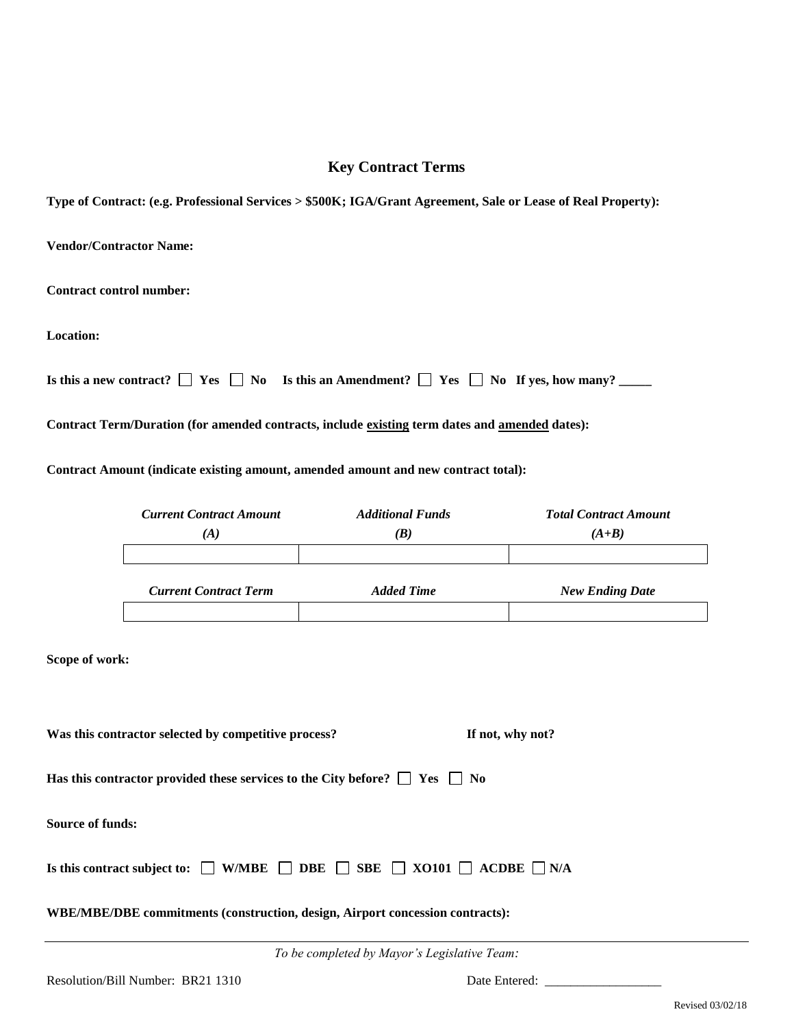# **Key Contract Terms**

**Type of Contract: (e.g. Professional Services > \$500K; IGA/Grant Agreement, Sale or Lease of Real Property):**

**Vendor/Contractor Name: Contract control number: Location: Is this a new contract?**  $\Box$  **Yes**  $\Box$  **No Is this an Amendment?**  $\Box$  **Yes**  $\Box$  **No If yes, how many?**  $\Box$ **Contract Term/Duration (for amended contracts, include existing term dates and amended dates): Contract Amount (indicate existing amount, amended amount and new contract total):**

|                                                                          | <b>Current Contract Amount</b>                                                                       | <b>Additional Funds</b> | <b>Total Contract Amount</b> |  |
|--------------------------------------------------------------------------|------------------------------------------------------------------------------------------------------|-------------------------|------------------------------|--|
|                                                                          | (A)                                                                                                  | (B)                     | $(A+B)$                      |  |
|                                                                          | <b>Current Contract Term</b>                                                                         | <b>Added Time</b>       | <b>New Ending Date</b>       |  |
| Scope of work:                                                           |                                                                                                      |                         |                              |  |
|                                                                          |                                                                                                      |                         |                              |  |
| Was this contractor selected by competitive process?<br>If not, why not? |                                                                                                      |                         |                              |  |
|                                                                          | Has this contractor provided these services to the City before? $\Box$ Yes $\Box$ No                 |                         |                              |  |
| <b>Source of funds:</b>                                                  |                                                                                                      |                         |                              |  |
|                                                                          | Is this contract subject to: $\Box$ W/MBE $\Box$ DBE $\Box$ SBE $\Box$ XO101 $\Box$ ACDBE $\Box$ N/A |                         |                              |  |

**WBE/MBE/DBE commitments (construction, design, Airport concession contracts):** 

*To be completed by Mayor's Legislative Team:*